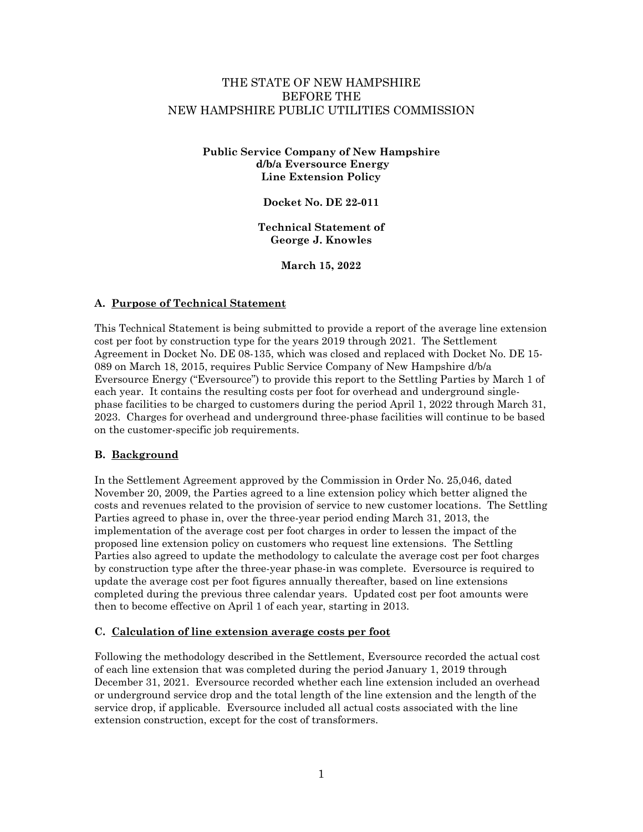# THE STATE OF NEW HAMPSHIRE BEFORE THE NEW HAMPSHIRE PUBLIC UTILITIES COMMISSION

#### **Public Service Company of New Hampshire d/b/a Eversource Energy Line Extension Policy**

**Docket No. DE 22-011**

**Technical Statement of George J. Knowles**

**March 15, 2022**

#### **A. Purpose of Technical Statement**

This Technical Statement is being submitted to provide a report of the average line extension cost per foot by construction type for the years 2019 through 2021. The Settlement Agreement in Docket No. DE 08-135, which was closed and replaced with Docket No. DE 15- 089 on March 18, 2015, requires Public Service Company of New Hampshire d/b/a Eversource Energy ("Eversource") to provide this report to the Settling Parties by March 1 of each year. It contains the resulting costs per foot for overhead and underground singlephase facilities to be charged to customers during the period April 1, 2022 through March 31, 2023. Charges for overhead and underground three-phase facilities will continue to be based on the customer-specific job requirements.

# **B. Background**

In the Settlement Agreement approved by the Commission in Order No. 25,046, dated November 20, 2009, the Parties agreed to a line extension policy which better aligned the costs and revenues related to the provision of service to new customer locations. The Settling Parties agreed to phase in, over the three-year period ending March 31, 2013, the implementation of the average cost per foot charges in order to lessen the impact of the proposed line extension policy on customers who request line extensions. The Settling Parties also agreed to update the methodology to calculate the average cost per foot charges by construction type after the three-year phase-in was complete. Eversource is required to update the average cost per foot figures annually thereafter, based on line extensions completed during the previous three calendar years. Updated cost per foot amounts were then to become effective on April 1 of each year, starting in 2013.

#### **C. Calculation of line extension average costs per foot**

Following the methodology described in the Settlement, Eversource recorded the actual cost of each line extension that was completed during the period January 1, 2019 through December 31, 2021. Eversource recorded whether each line extension included an overhead or underground service drop and the total length of the line extension and the length of the service drop, if applicable. Eversource included all actual costs associated with the line extension construction, except for the cost of transformers.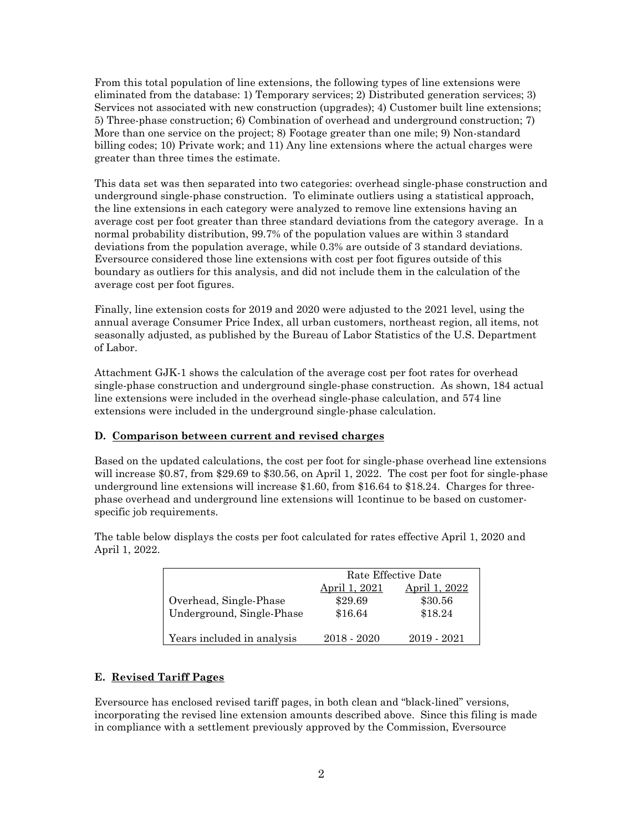From this total population of line extensions, the following types of line extensions were eliminated from the database: 1) Temporary services; 2) Distributed generation services; 3) Services not associated with new construction (upgrades); 4) Customer built line extensions; 5) Three-phase construction; 6) Combination of overhead and underground construction; 7) More than one service on the project; 8) Footage greater than one mile; 9) Non-standard billing codes; 10) Private work; and 11) Any line extensions where the actual charges were greater than three times the estimate.

This data set was then separated into two categories: overhead single-phase construction and underground single-phase construction. To eliminate outliers using a statistical approach, the line extensions in each category were analyzed to remove line extensions having an average cost per foot greater than three standard deviations from the category average. In a normal probability distribution, 99.7% of the population values are within 3 standard deviations from the population average, while 0.3% are outside of 3 standard deviations. Eversource considered those line extensions with cost per foot figures outside of this boundary as outliers for this analysis, and did not include them in the calculation of the average cost per foot figures.

Finally, line extension costs for 2019 and 2020 were adjusted to the 2021 level, using the annual average Consumer Price Index, all urban customers, northeast region, all items, not seasonally adjusted, as published by the Bureau of Labor Statistics of the U.S. Department of Labor.

Attachment GJK-1 shows the calculation of the average cost per foot rates for overhead single-phase construction and underground single-phase construction. As shown, 184 actual line extensions were included in the overhead single-phase calculation, and 574 line extensions were included in the underground single-phase calculation.

# **D. Comparison between current and revised charges**

Based on the updated calculations, the cost per foot for single-phase overhead line extensions will increase \$0.87, from \$29.69 to \$30.56, on April 1, 2022. The cost per foot for single-phase underground line extensions will increase \$1.60, from \$16.64 to \$18.24. Charges for threephase overhead and underground line extensions will 1continue to be based on customerspecific job requirements.

|                            | Rate Effective Date  |               |
|----------------------------|----------------------|---------------|
|                            | <u>April 1, 2021</u> | April 1, 2022 |
| Overhead, Single-Phase     | \$29.69              | \$30.56       |
| Underground, Single-Phase  | \$16.64              | \$18.24       |
| Years included in analysis | 2018 - 2020          | 2019 - 2021   |

The table below displays the costs per foot calculated for rates effective April 1, 2020 and April 1, 2022.

# **E. Revised Tariff Pages**

Eversource has enclosed revised tariff pages, in both clean and "black-lined" versions, incorporating the revised line extension amounts described above. Since this filing is made in compliance with a settlement previously approved by the Commission, Eversource